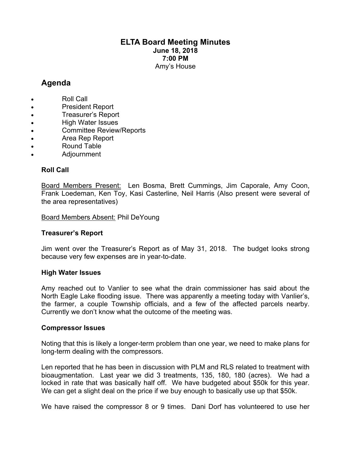### **ELTA Board Meeting Minutes June 18, 2018 7:00 PM** Amy's House

# **Agenda**

- Roll Call
- President Report
- Treasurer's Report
- High Water Issues
- Committee Review/Reports
- Area Rep Report
- Round Table
- Adjournment

## **Roll Call**

Board Members Present: Len Bosma, Brett Cummings, Jim Caporale, Amy Coon, Frank Loedeman, Ken Toy, Kasi Casterline, Neil Harris (Also present were several of the area representatives)

Board Members Absent: Phil DeYoung

## **Treasurer's Report**

Jim went over the Treasurer's Report as of May 31, 2018. The budget looks strong because very few expenses are in year-to-date.

#### **High Water Issues**

Amy reached out to Vanlier to see what the drain commissioner has said about the North Eagle Lake flooding issue. There was apparently a meeting today with Vanlier's, the farmer, a couple Township officials, and a few of the affected parcels nearby. Currently we don't know what the outcome of the meeting was.

#### **Compressor Issues**

Noting that this is likely a longer-term problem than one year, we need to make plans for long-term dealing with the compressors.

Len reported that he has been in discussion with PLM and RLS related to treatment with bioaugmentation. Last year we did 3 treatments, 135, 180, 180 (acres). We had a locked in rate that was basically half off. We have budgeted about \$50k for this year. We can get a slight deal on the price if we buy enough to basically use up that \$50k.

We have raised the compressor 8 or 9 times. Dani Dorf has volunteered to use her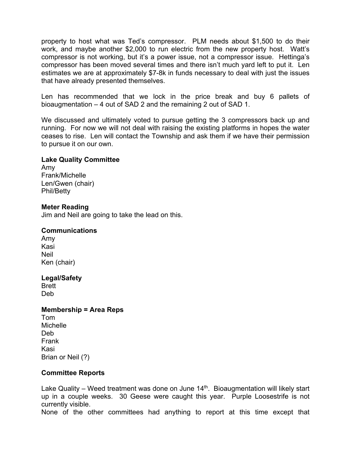property to host what was Ted's compressor. PLM needs about \$1,500 to do their work, and maybe another \$2,000 to run electric from the new property host. Watt's compressor is not working, but it's a power issue, not a compressor issue. Hettinga's compressor has been moved several times and there isn't much yard left to put it. Len estimates we are at approximately \$7-8k in funds necessary to deal with just the issues that have already presented themselves.

Len has recommended that we lock in the price break and buy 6 pallets of bioaugmentation – 4 out of SAD 2 and the remaining 2 out of SAD 1.

We discussed and ultimately voted to pursue getting the 3 compressors back up and running. For now we will not deal with raising the existing platforms in hopes the water ceases to rise. Len will contact the Township and ask them if we have their permission to pursue it on our own.

#### **Lake Quality Committee**

Amy Frank/Michelle Len/Gwen (chair) Phil/Betty

#### **Meter Reading**

Jim and Neil are going to take the lead on this.

#### **Communications**

Amy Kasi Neil Ken (chair)

#### **Legal/Safety**

Brett Deb

#### **Membership = Area Reps**

| Tom               |
|-------------------|
| Michelle          |
| Deb               |
| Frank             |
| Kasi              |
| Brian or Neil (?) |

#### **Committee Reports**

Lake Quality – Weed treatment was done on June  $14<sup>th</sup>$ . Bioaugmentation will likely start up in a couple weeks. 30 Geese were caught this year. Purple Loosestrife is not currently visible.

None of the other committees had anything to report at this time except that